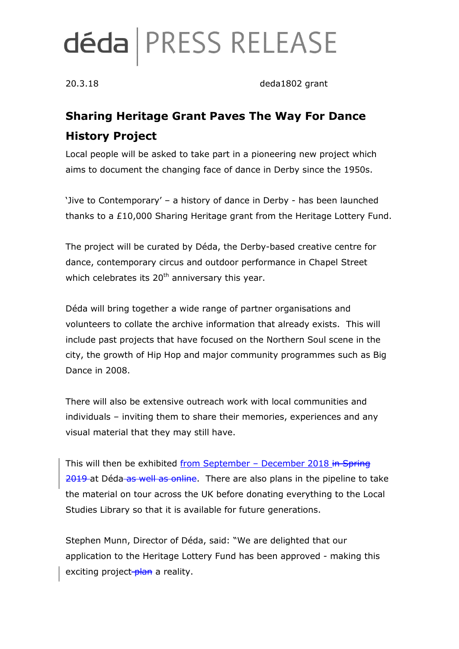# déda | PRESS RELEASE

20.3.18 deda1802 grant

## **Sharing Heritage Grant Paves The Way For Dance History Project**

Local people will be asked to take part in a pioneering new project which aims to document the changing face of dance in Derby since the 1950s.

'Jive to Contemporary' – a history of dance in Derby - has been launched thanks to a £10,000 Sharing Heritage grant from the Heritage Lottery Fund.

The project will be curated by Déda, the Derby-based creative centre for dance, contemporary circus and outdoor performance in Chapel Street which celebrates its  $20<sup>th</sup>$  anniversary this year.

Déda will bring together a wide range of partner organisations and volunteers to collate the archive information that already exists. This will include past projects that have focused on the Northern Soul scene in the city, the growth of Hip Hop and major community programmes such as Big Dance in 2008.

There will also be extensive outreach work with local communities and individuals – inviting them to share their memories, experiences and any visual material that they may still have.

This will then be exhibited from September - December 2018 in Spring 2019 at Déda as well as online. There are also plans in the pipeline to take the material on tour across the UK before donating everything to the Local Studies Library so that it is available for future generations.

Stephen Munn, Director of Déda, said: "We are delighted that our application to the Heritage Lottery Fund has been approved - making this exciting project-plan a reality.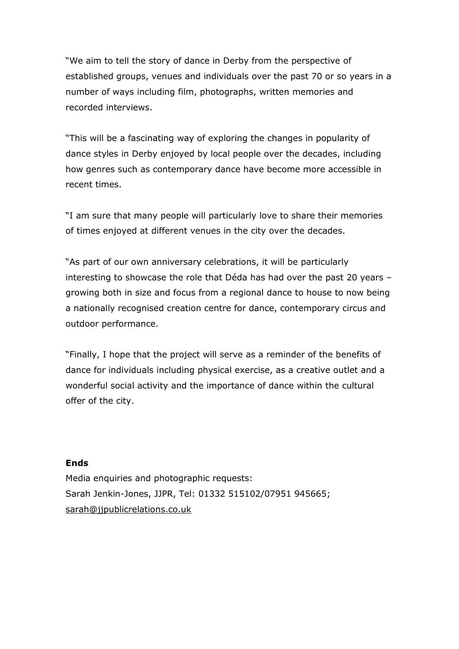"We aim to tell the story of dance in Derby from the perspective of established groups, venues and individuals over the past 70 or so years in a number of ways including film, photographs, written memories and recorded interviews.

"This will be a fascinating way of exploring the changes in popularity of dance styles in Derby enjoyed by local people over the decades, including how genres such as contemporary dance have become more accessible in recent times.

"I am sure that many people will particularly love to share their memories of times enjoyed at different venues in the city over the decades.

"As part of our own anniversary celebrations, it will be particularly interesting to showcase the role that Déda has had over the past 20 years – growing both in size and focus from a regional dance to house to now being a nationally recognised creation centre for dance, contemporary circus and outdoor performance.

"Finally, I hope that the project will serve as a reminder of the benefits of dance for individuals including physical exercise, as a creative outlet and a wonderful social activity and the importance of dance within the cultural offer of the city.

#### **Ends**

Media enquiries and photographic requests: Sarah Jenkin-Jones, JJPR, Tel: 01332 515102/07951 945665; [sarah@jjpublicrelations.co.uk](mailto:sarah@jjpublicrelations.co.uk)